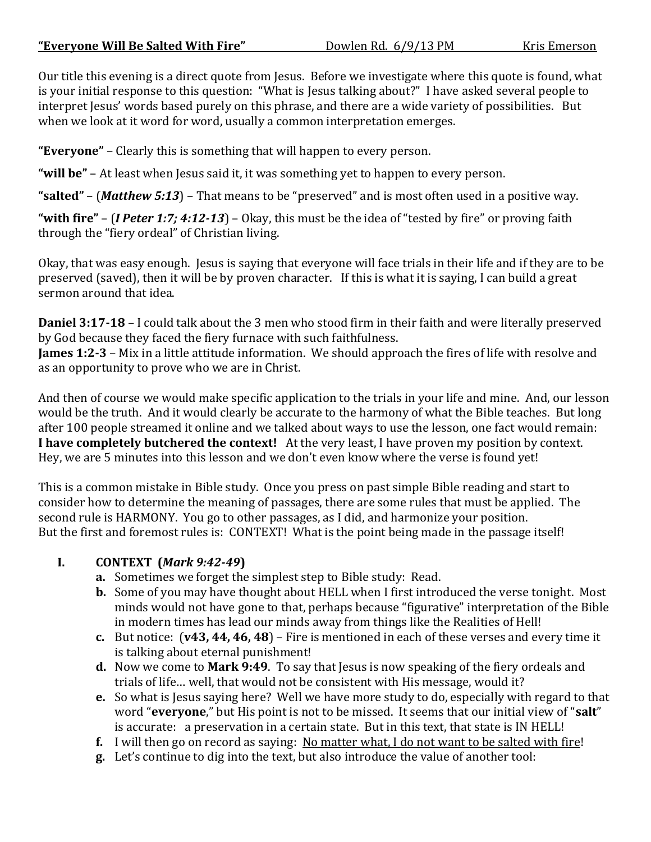Our title this evening is a direct quote from Jesus. Before we investigate where this quote is found, what is your initial response to this question: "What is Jesus talking about?" I have asked several people to interpret Jesus' words based purely on this phrase, and there are a wide variety of possibilities. But when we look at it word for word, usually a common interpretation emerges.

**"Everyone"** – Clearly this is something that will happen to every person.

**"will be"** – At least when Jesus said it, it was something yet to happen to every person.

**"salted"** – (*Matthew 5:13*) – That means to be "preserved" and is most often used in a positive way.

**"with fire"** – (*I Peter 1:7; 4:12-13*) – Okay, this must be the idea of "tested by fire" or proving faith through the "fiery ordeal" of Christian living.

Okay, that was easy enough. Jesus is saying that everyone will face trials in their life and if they are to be preserved (saved), then it will be by proven character. If this is what it is saying, I can build a great sermon around that idea.

**Daniel 3:17-18** – I could talk about the 3 men who stood firm in their faith and were literally preserved by God because they faced the fiery furnace with such faithfulness.

**James 1:2-3** – Mix in a little attitude information. We should approach the fires of life with resolve and as an opportunity to prove who we are in Christ.

And then of course we would make specific application to the trials in your life and mine. And, our lesson would be the truth. And it would clearly be accurate to the harmony of what the Bible teaches. But long after 100 people streamed it online and we talked about ways to use the lesson, one fact would remain: **I have completely butchered the context!** At the very least, I have proven my position by context. Hey, we are 5 minutes into this lesson and we don't even know where the verse is found yet!

This is a common mistake in Bible study. Once you press on past simple Bible reading and start to consider how to determine the meaning of passages, there are some rules that must be applied. The second rule is HARMONY. You go to other passages, as I did, and harmonize your position. But the first and foremost rules is: CONTEXT! What is the point being made in the passage itself!

## **I. CONTEXT (***Mark 9:42-49***)**

- **a.** Sometimes we forget the simplest step to Bible study: Read.
- **b.** Some of you may have thought about HELL when I first introduced the verse tonight. Most minds would not have gone to that, perhaps because "figurative" interpretation of the Bible in modern times has lead our minds away from things like the Realities of Hell!
- **c.** But notice: (**v43, 44, 46, 48**) Fire is mentioned in each of these verses and every time it is talking about eternal punishment!
- **d.** Now we come to **Mark 9:49**. To say that Jesus is now speaking of the fiery ordeals and trials of life… well, that would not be consistent with His message, would it?
- **e.** So what is Jesus saying here? Well we have more study to do, especially with regard to that word "**everyone**," but His point is not to be missed. It seems that our initial view of "**salt**" is accurate: a preservation in a certain state. But in this text, that state is IN HELL!
- **f.** I will then go on record as saying: No matter what, I do not want to be salted with fire!
- **g.** Let's continue to dig into the text, but also introduce the value of another tool: